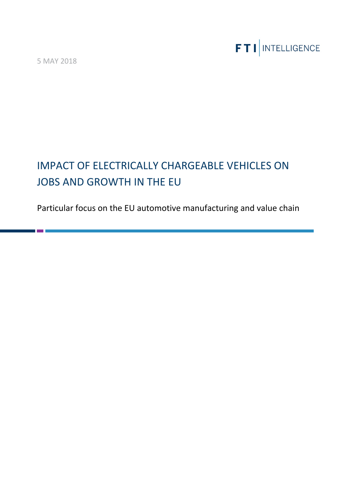5 MAY 2018



# IMPACT OF ELECTRICALLY CHARGEABLE VEHICLES ON JOBS AND GROWTH IN THE EU

Particular focus on the EU automotive manufacturing and value chain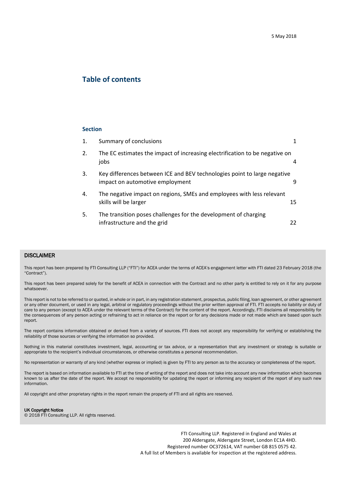## **Table of contents**

#### **Section**

|    | Summary of conclusions                                                                                      |    |
|----|-------------------------------------------------------------------------------------------------------------|----|
| 2. | The EC estimates the impact of increasing electrification to be negative on<br>jobs                         |    |
| 3. | Key differences between ICE and BEV technologies point to large negative<br>impact on automotive employment |    |
| 4. | The negative impact on regions, SMEs and employees with less relevant<br>skills will be larger              | 15 |
| 5. | The transition poses challenges for the development of charging<br>infrastructure and the grid              | 22 |

#### DISCLAIMER

This report has been prepared by FTI Consulting LLP ("FTI") for ACEA under the terms of ACEA's engagement letter with FTI dated 23 February 2018 (the "Contract").

This report has been prepared solely for the benefit of ACEA in connection with the Contract and no other party is entitled to rely on it for any purpose whatsoever.

This report is not to be referred to or quoted, in whole or in part, in any registration statement, prospectus, public filing, loan agreement, or other agreement or any other document, or used in any legal, arbitral or regulatory proceedings without the prior written approval of FTI. FTI accepts no liability or duty of care to any person (except to ACEA under the relevant terms of the Contract) for the content of the report. Accordingly, FTI disclaims all responsibility for the consequences of any person acting or refraining to act in reliance on the report or for any decisions made or not made which are based upon such report.

The report contains information obtained or derived from a variety of sources. FTI does not accept any responsibility for verifying or establishing the reliability of those sources or verifying the information so provided.

Nothing in this material constitutes investment, legal, accounting or tax advice, or a representation that any investment or strategy is suitable or appropriate to the recipient's individual circumstances, or otherwise constitutes a personal recommendation.

No representation or warranty of any kind (whether express or implied) is given by FTI to any person as to the accuracy or completeness of the report.

The report is based on information available to FTI at the time of writing of the report and does not take into account any new information which becomes known to us after the date of the report. We accept no responsibility for updating the report or informing any recipient of the report of any such new information.

All copyright and other proprietary rights in the report remain the property of FTI and all rights are reserved.

#### UK Copyright Notice

© 2018 FTI Consulting LLP. All rights reserved.

FTI Consulting LLP. Registered in England and Wales at 200 Aldersgate, Aldersgate Street, London EC1A 4HD. Registered number OC372614, VAT number GB 815 0575 42. A full list of Members is available for inspection at the registered address.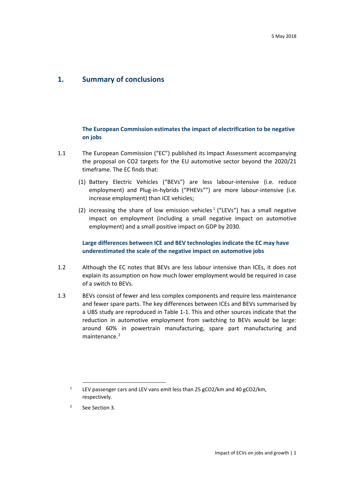## <span id="page-2-0"></span>**1. Summary of conclusions**

#### **The European Commission estimates the impact of electrification to be negative on jobs**

- 1.1 The European Commission ("EC") published its Impact Assessment accompanying the proposal on CO2 targets for the EU automotive sector beyond the 2020/21 timeframe. The EC finds that:
	- (1) Battery Electric Vehicles ("BEVs") are less labour-intensive (i.e. reduce employment) and Plug-in-hybrids ("PHEVs"") are more labour-intensive (i.e. increase employment) than ICE vehicles;
	- (2) increasing the share of low emission vehicles<sup>[1](#page-2-1)</sup> ("LEVs") has a small negative impact on employment (including a small negative impact on automotive employment) and a small positive impact on GDP by 2030.

#### **Large differences between ICE and BEV technologies indicate the EC may have underestimated the scale of the negative impact on automotive jobs**

- 1.2 Although the EC notes that BEVs are less labour intensive than ICEs, it does not explain its assumption on how much lower employment would be required in case of a switch to BEVs.
- 1.3 BEVs consist of fewer and less complex components and require less maintenance and fewer spare parts. The key differences between ICEs and BEVs summarised by a UBS study are reproduced in Table 1-1. This and other sources indicate that the reduction in automotive employment from switching to BEVs would be large: around 60% in powertrain manufacturing, spare part manufacturing and maintenance.<sup>[2](#page-2-2)</sup>

<span id="page-2-1"></span><sup>&</sup>lt;sup>1</sup> LEV passenger cars and LEV vans emit less than 25 gCO2/km and 40 gCO2/km, respectively.

<span id="page-2-2"></span><sup>2</sup> See Section 3.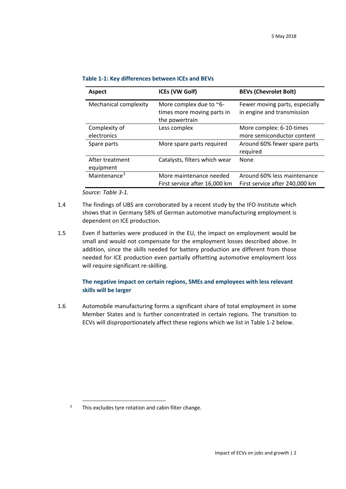| <b>Aspect</b>                | <b>ICEs (VW Golf)</b>                                                   | <b>BEVs (Chevrolet Bolt)</b>                                  |
|------------------------------|-------------------------------------------------------------------------|---------------------------------------------------------------|
| Mechanical complexity        | More complex due to ~6-<br>times more moving parts in<br>the powertrain | Fewer moving parts, especially<br>in engine and transmission  |
| Complexity of<br>electronics | Less complex                                                            | More complex: 6-10-times<br>more semiconductor content        |
| Spare parts                  | More spare parts required                                               | Around 60% fewer spare parts<br>required                      |
| After treatment<br>equipment | Catalysts, filters which wear                                           | None                                                          |
| Maintenance <sup>3</sup>     | More maintenance needed<br>First service after 16,000 km                | Around 60% less maintenance<br>First service after 240,000 km |

|  | Table 1-1: Key differences between ICEs and BEVs |  |  |  |
|--|--------------------------------------------------|--|--|--|
|--|--------------------------------------------------|--|--|--|

*Source: Table 3-1.*

- 1.4 The findings of UBS are corroborated by a recent study by the IFO Institute which shows that in Germany 58% of German automotive manufacturing employment is dependent on ICE production.
- 1.5 Even if batteries were produced in the EU, the impact on employment would be small and would not compensate for the employment losses described above. In addition, since the skills needed for battery production are different from those needed for ICE production even partially offsetting automotive employment loss will require significant re-skilling.

#### **The negative impact on certain regions, SMEs and employees with less relevant skills will be larger**

1.6 Automobile manufacturing forms a significant share of total employment in some Member States and is further concentrated in certain regions. The transition to ECVs will disproportionately affect these regions which we list in Table 1-2 below.

<span id="page-3-0"></span> $3$  This excludes tyre rotation and cabin filter change.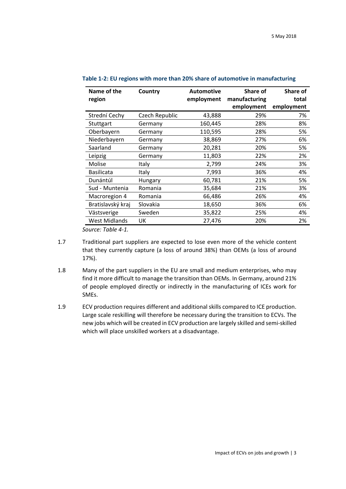| Name of the       | Country        | <b>Automotive</b> | <b>Share of</b> | Share of   |
|-------------------|----------------|-------------------|-----------------|------------|
| region            |                | employment        | manufacturing   | total      |
|                   |                |                   | employment      | employment |
| Strední Cechy     | Czech Republic | 43,888            | 29%             | 7%         |
| Stuttgart         | Germany        | 160,445           | 28%             | 8%         |
| Oberbayern        | Germany        | 110,595           | 28%             | 5%         |
| Niederbayern      | Germany        | 38,869            | 27%             | 6%         |
| Saarland          | Germany        | 20,281            | 20%             | 5%         |
| Leipzig           | Germany        | 11,803            | 22%             | 2%         |
| Molise            | Italy          | 2,799             | 24%             | 3%         |
| <b>Basilicata</b> | Italy          | 7,993             | 36%             | 4%         |
| Dunántúl          | Hungary        | 60,781            | 21%             | 5%         |
| Sud - Muntenia    | Romania        | 35,684            | 21%             | 3%         |
| Macroregion 4     | Romania        | 66,486            | 26%             | 4%         |
| Bratislavský kraj | Slovakia       | 18,650            | 36%             | 6%         |
| Västsverige       | Sweden         | 35,822            | 25%             | 4%         |
| West Midlands     | UK             | 27,476            | 20%             | 2%         |

**Table 1-2: EU regions with more than 20% share of automotive in manufacturing**

*Source: Table 4-1.*

- 1.7 Traditional part suppliers are expected to lose even more of the vehicle content that they currently capture (a loss of around 38%) than OEMs (a loss of around 17%).
- 1.8 Many of the part suppliers in the EU are small and medium enterprises, who may find it more difficult to manage the transition than OEMs. In Germany, around 21% of people employed directly or indirectly in the manufacturing of ICEs work for SMEs.
- 1.9 ECV production requires different and additional skills compared to ICE production. Large scale reskilling will therefore be necessary during the transition to ECVs. The new jobs which will be created in ECV production are largely skilled and semi-skilled which will place unskilled workers at a disadvantage.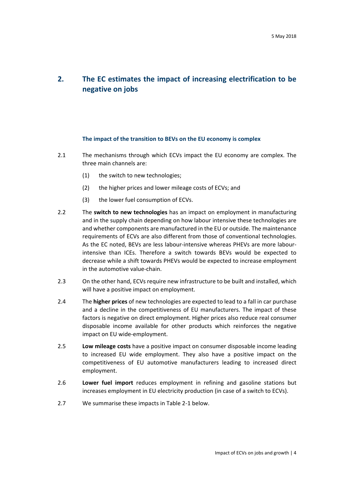# <span id="page-5-0"></span>**2. The EC estimates the impact of increasing electrification to be negative on jobs**

#### **The impact of the transition to BEVs on the EU economy is complex**

- 2.1 The mechanisms through which ECVs impact the EU economy are complex. The three main channels are:
	- (1) the switch to new technologies;
	- (2) the higher prices and lower mileage costs of ECVs; and
	- (3) the lower fuel consumption of ECVs.
- 2.2 The **switch to new technologies** has an impact on employment in manufacturing and in the supply chain depending on how labour intensive these technologies are and whether components are manufactured in the EU or outside. The maintenance requirements of ECVs are also different from those of conventional technologies. As the EC noted, BEVs are less labour-intensive whereas PHEVs are more labourintensive than ICEs. Therefore a switch towards BEVs would be expected to decrease while a shift towards PHEVs would be expected to increase employment in the automotive value-chain.
- 2.3 On the other hand, ECVs require new infrastructure to be built and installed, which will have a positive impact on employment.
- 2.4 The **higher prices** of new technologies are expected to lead to a fall in car purchase and a decline in the competitiveness of EU manufacturers. The impact of these factors is negative on direct employment. Higher prices also reduce real consumer disposable income available for other products which reinforces the negative impact on EU wide-employment.
- 2.5 **Low mileage costs** have a positive impact on consumer disposable income leading to increased EU wide employment. They also have a positive impact on the competitiveness of EU automotive manufacturers leading to increased direct employment.
- 2.6 **Lower fuel import** reduces employment in refining and gasoline stations but increases employment in EU electricity production (in case of a switch to ECVs).
- 2.7 We summarise these impacts i[n Table 2-1](#page-6-0) below.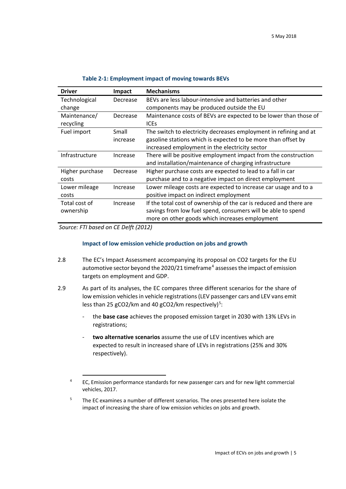<span id="page-6-0"></span>

| <b>Driver</b>   | Impact   | <b>Mechanisms</b>                                                  |
|-----------------|----------|--------------------------------------------------------------------|
| Technological   | Decrease | BEVs are less labour-intensive and batteries and other             |
| change          |          | components may be produced outside the EU                          |
| Maintenance/    | Decrease | Maintenance costs of BEVs are expected to be lower than those of   |
| recycling       |          | <b>ICES</b>                                                        |
| Fuel import     | Small    | The switch to electricity decreases employment in refining and at  |
|                 | increase | gasoline stations which is expected to be more than offset by      |
|                 |          | increased employment in the electricity sector                     |
| Infrastructure  | Increase | There will be positive employment impact from the construction     |
|                 |          | and installation/maintenance of charging infrastructure            |
| Higher purchase | Decrease | Higher purchase costs are expected to lead to a fall in car        |
| costs           |          | purchase and to a negative impact on direct employment             |
| Lower mileage   | Increase | Lower mileage costs are expected to increase car usage and to a    |
| costs           |          | positive impact on indirect employment                             |
| Total cost of   | Increase | If the total cost of ownership of the car is reduced and there are |
| ownership       |          | savings from low fuel spend, consumers will be able to spend       |
|                 |          | more on other goods which increases employment                     |

#### **Table 2-1: Employment impact of moving towards BEVs**

*Source: FTI based on CE Delft (2012)*

#### **Impact of low emission vehicle production on jobs and growth**

- 2.8 The EC's Impact Assessment accompanying its proposal on CO2 targets for the EU automotive sector beyond the 2020/21 timeframe<sup>[4](#page-6-1)</sup> assesses the impact of emission targets on employment and GDP.
- 2.9 As part of its analyses, the EC compares three different scenarios for the share of low emission vehicles in vehicle registrations(LEV passenger cars and LEV vans emit less than 2[5](#page-6-2) gCO2/km and 40 gCO2/km respectively)<sup>5</sup>:
	- the **base case** achieves the proposed emission target in 2030 with 13% LEVs in registrations;
	- two alternative scenarios assume the use of LEV incentives which are expected to result in increased share of LEVs in registrations (25% and 30% respectively).

<span id="page-6-1"></span><sup>&</sup>lt;sup>4</sup> EC, Emission performance standards for new passenger cars and for new light commercial vehicles, 2017.

<span id="page-6-2"></span><sup>&</sup>lt;sup>5</sup> The EC examines a number of different scenarios. The ones presented here isolate the impact of increasing the share of low emission vehicles on jobs and growth.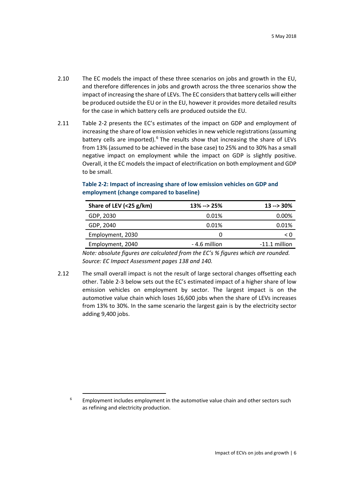- 2.10 The EC models the impact of these three scenarios on jobs and growth in the EU, and therefore differences in jobs and growth across the three scenarios show the impact of increasing the share of LEVs. The EC considers that battery cells will either be produced outside the EU or in the EU, however it provides more detailed results for the case in which battery cells are produced outside the EU.
- 2.11 [Table 2-2](#page-7-0) presents the EC's estimates of the impact on GDP and employment of increasing the share of low emission vehicles in new vehicle registrations (assuming battery cells are imported).<sup>[6](#page-7-1)</sup> The results show that increasing the share of LEVs from 13% (assumed to be achieved in the base case) to 25% and to 30% has a small negative impact on employment while the impact on GDP is slightly positive. Overall, it the EC models the impact of electrification on both employment and GDP to be small.

| Share of LEV (<25 g/km) | $13\% -> 25\%$ | $13 - 30\%$     |
|-------------------------|----------------|-----------------|
| GDP, 2030               | 0.01%          | 0.00%           |
| GDP, 2040               | 0.01%          | 0.01%           |
| Employment, 2030        | $\mathbf{0}$   | < 0             |
| Employment, 2040        | -4.6 million   | $-11.1$ million |

#### <span id="page-7-0"></span>**Table 2-2: Impact of increasing share of low emission vehicles on GDP and employment (change compared to baseline)**

*Note: absolute figures are calculated from the EC's % figures which are rounded. Source: EC Impact Assessment pages 138 and 140.*

2.12 The small overall impact is not the result of large sectoral changes offsetting each other. [Table 2-3](#page-8-0) below sets out the EC's estimated impact of a higher share of low emission vehicles on employment by sector. The largest impact is on the automotive value chain which loses 16,600 jobs when the share of LEVs increases from 13% to 30%. In the same scenario the largest gain is by the electricity sector adding 9,400 jobs.

<span id="page-7-1"></span> $6$  Employment includes employment in the automotive value chain and other sectors such as refining and electricity production.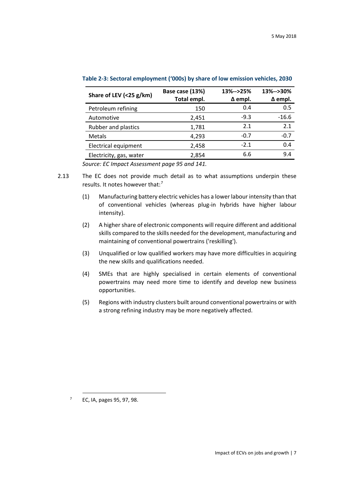| Share of LEV (<25 g/km) | Base case (13%)<br>Total empl. | 13%-->25%<br>$\Delta$ empl. | 13%-->30%<br>$\Delta$ empl. |
|-------------------------|--------------------------------|-----------------------------|-----------------------------|
| Petroleum refining      | 150                            | 0.4                         | 0.5                         |
| Automotive              | 2,451                          | $-9.3$                      | $-16.6$                     |
| Rubber and plastics     | 1,781                          | 2.1                         | 2.1                         |
| <b>Metals</b>           | 4,293                          | $-0.7$                      | $-0.7$                      |
| Electrical equipment    | 2,458                          | $-2.1$                      | 0.4                         |
| Electricity, gas, water | 2,854                          | 6.6                         | 9.4                         |
| ____                    | .                              |                             |                             |

<span id="page-8-0"></span>**Table 2-3: Sectoral employment ('000s) by share of low emission vehicles, 2030**

*Source: EC Impact Assessment page 95 and 141.*

- 2.13 The EC does not provide much detail as to what assumptions underpin these results. It notes however that:[7](#page-8-1)
	- (1) Manufacturing battery electric vehicles has a lower labour intensity than that of conventional vehicles (whereas plug-in hybrids have higher labour intensity).
	- (2) A higher share of electronic components will require different and additional skills compared to the skills needed for the development, manufacturing and maintaining of conventional powertrains ('reskilling').
	- (3) Unqualified or low qualified workers may have more difficulties in acquiring the new skills and qualifications needed.
	- (4) SMEs that are highly specialised in certain elements of conventional powertrains may need more time to identify and develop new business opportunities.
	- (5) Regions with industry clusters built around conventional powertrains or with a strong refining industry may be more negatively affected.

<span id="page-8-1"></span> <sup>7</sup> EC, IA, pages 95, 97, 98.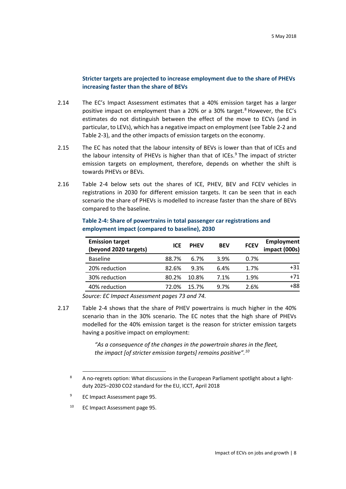#### **Stricter targets are projected to increase employment due to the share of PHEVs increasing faster than the share of BEVs**

- 2.14 The EC's Impact Assessment estimates that a 40% emission target has a larger positive impact on employment than a 20% or a 30% target.<sup>[8](#page-9-1)</sup> However, the EC's estimates do not distinguish between the effect of the move to ECVs (and in particular, to LEVs), which has a negative impact on employment (se[e Table 2-2](#page-7-0) and [Table 2-3\)](#page-8-0), and the other impacts of emission targets on the economy.
- 2.15 The EC has noted that the labour intensity of BEVs is lower than that of ICEs and the labour intensity of PHEVs is higher than that of ICEs. $9$  The impact of stricter emission targets on employment, therefore, depends on whether the shift is towards PHEVs or BEVs.
- 2.16 [Table 2-4](#page-9-0) below sets out the shares of ICE, PHEV, BEV and FCEV vehicles in registrations in 2030 for different emission targets. It can be seen that in each scenario the share of PHEVs is modelled to increase faster than the share of BEVs compared to the baseline.

| <b>Emission target</b><br>(beyond 2020 targets) | <b>ICE</b> | <b>PHFV</b> | <b>BEV</b> | <b>FCEV</b> | <b>Employment</b><br>impact (000s) |
|-------------------------------------------------|------------|-------------|------------|-------------|------------------------------------|
| <b>Baseline</b>                                 | 88.7%      | 6.7%        | 3.9%       | 0.7%        |                                    |
| 20% reduction                                   | 82.6%      | 9.3%        | 6.4%       | 1.7%        | $+31$                              |
| 30% reduction                                   | 80.2%      | 10.8%       | 7.1%       | 1.9%        | $+71$                              |
| 40% reduction                                   | 72.0%      | 15.7%       | 9.7%       | 2.6%        | +88                                |

<span id="page-9-0"></span>**Table 2-4: Share of powertrains in total passenger car registrations and employment impact (compared to baseline), 2030**

*Source: EC Impact Assessment pages 73 and 74.*

2.17 [Table 2-4](#page-9-0) shows that the share of PHEV powertrains is much higher in the 40% scenario than in the 30% scenario. The EC notes that the high share of PHEVs modelled for the 40% emission target is the reason for stricter emission targets having a positive impact on employment:

> *"As a consequence of the changes in the powertrain shares in the fleet, the impact [of stricter emission targets] remains positive".[10](#page-9-3)*

<span id="page-9-3"></span><sup>10</sup> EC Impact Assessment page 95.

<span id="page-9-1"></span><sup>8</sup> A no-regrets option: What discussions in the European Parliament spotlight about a lightduty 2025–2030 CO2 standard for the EU, ICCT, April 2018

<span id="page-9-2"></span><sup>&</sup>lt;sup>9</sup> EC Impact Assessment page 95.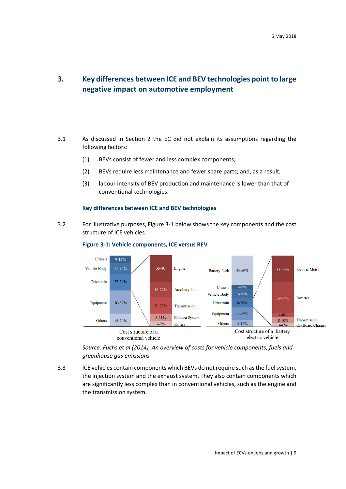# <span id="page-10-0"></span>**3. Key differences between ICE and BEV technologies point to large negative impact on automotive employment**

- 3.1 As discussed in Section 2 the EC did not explain its assumptions regarding the following factors:
	- (1) BEVs consist of fewer and less complex components;
	- (2) BEVs require less maintenance and fewer spare parts; and, as a result,
	- (3) labour intensity of BEV production and maintenance is lower than that of conventional technologies.

#### **Key differences between ICE and BEV technologies**

<span id="page-10-2"></span><span id="page-10-1"></span>3.2 For illustrative purposes[, Figure 3-1](#page-10-1) below shows the key components and the cost structure of ICE vehicles.



#### **Figure 3-1: Vehicle components, ICE versus BEV**

*Source: Fuchs et al (2014), An overview of costs for vehicle components, fuels and greenhouse gas emissions*

3.3 ICE vehicles contain components which BEVs do not require such asthe fuel system, the injection system and the exhaust system. They also contain components which are significantly less complex than in conventional vehicles, such as the engine and the transmission system.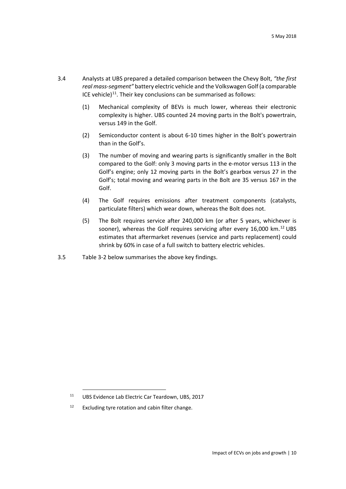- 3.4 Analysts at UBS prepared a detailed comparison between the Chevy Bolt, *"the first real mass-segment"* battery electric vehicle and the Volkswagen Golf (a comparable ICE vehicle)<sup>11</sup>. Their key conclusions can be summarised as follows:
	- (1) Mechanical complexity of BEVs is much lower, whereas their electronic complexity is higher. UBS counted 24 moving parts in the Bolt's powertrain, versus 149 in the Golf.
	- (2) Semiconductor content is about 6-10 times higher in the Bolt's powertrain than in the Golf's.
	- (3) The number of moving and wearing parts is significantly smaller in the Bolt compared to the Golf: only 3 moving parts in the e-motor versus 113 in the Golf's engine; only 12 moving parts in the Bolt's gearbox versus 27 in the Golf's; total moving and wearing parts in the Bolt are 35 versus 167 in the Golf.
	- (4) The Golf requires emissions after treatment components (catalysts, particulate filters) which wear down, whereas the Bolt does not.
	- (5) The Bolt requires service after 240,000 km (or after 5 years, whichever is sooner), whereas the Golf requires servicing after every 16,000 km.<sup>[12](#page-11-1)</sup> UBS estimates that aftermarket revenues (service and parts replacement) could shrink by 60% in case of a full switch to battery electric vehicles.
- 3.5 Table 3-2 below summarises the above key findings.

<span id="page-11-0"></span> <sup>11</sup> UBS Evidence Lab Electric Car Teardown, UBS, 2017

<span id="page-11-1"></span> $12$  Excluding tyre rotation and cabin filter change.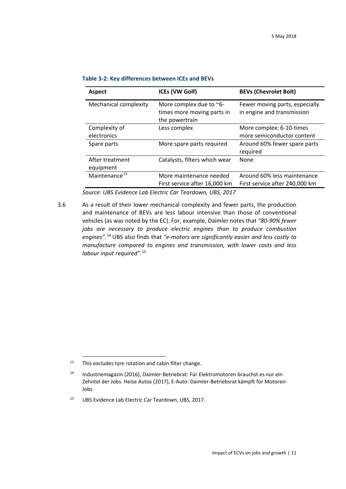| <b>Aspect</b>                | <b>ICEs (VW Golf)</b>                                                   | <b>BEVs (Chevrolet Bolt)</b>                                  |
|------------------------------|-------------------------------------------------------------------------|---------------------------------------------------------------|
| Mechanical complexity        | More complex due to ~6-<br>times more moving parts in<br>the powertrain | Fewer moving parts, especially<br>in engine and transmission  |
| Complexity of<br>electronics | Less complex                                                            | More complex: 6-10-times<br>more semiconductor content        |
| Spare parts                  | More spare parts required                                               | Around 60% fewer spare parts<br>required                      |
| After treatment<br>equipment | Catalysts, filters which wear                                           | None                                                          |
| Maintenance <sup>13</sup>    | More maintenance needed<br>First service after 16,000 km                | Around 60% less maintenance<br>First service after 240,000 km |

#### **Table 3-2: Key differences between ICEs and BEVs**

*Source: UBS Evidence Lab Electric Car Teardown, UBS, 2017*

<span id="page-12-3"></span>3.6 As a result of their lower mechanical complexity and fewer parts, the production and maintenance of BEVs are less labour intensive than those of conventional vehicles (as was noted by the EC). For, example, Daimler notes that *"80-90% fewer jobs are necessary to produce electric engines than to produce combustion engines"*. [14](#page-12-1) UBS also finds that *"e-motors are significantly easier and less costly to manufacture compared to engines and transmission, with lower costs and less labour input required"*. [15](#page-12-2)

<span id="page-12-0"></span> $13$  This excludes tyre rotation and cabin filter change.

<span id="page-12-1"></span><sup>14</sup> Industriemagazin (2016), Daimler-Betriebrat: Für Elektromotoren brauchst es nur ein Zehntel der Jobs. Heise Autos (2017), E-Auto: Daimler-Betriebsrat kämpft für Motoren-Jobs

<span id="page-12-2"></span><sup>15</sup> UBS Evidence Lab Electric Car Teardown, UBS, 2017.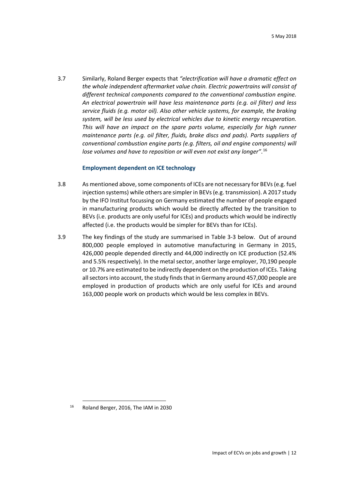3.7 Similarly, Roland Berger expects that *"electrification will have a dramatic effect on the whole independent aftermarket value chain. Electric powertrains will consist of different technical components compared to the conventional combustion engine. An electrical powertrain will have less maintenance parts (e.g. oil filter) and less service fluids (e.g. motor oil). Also other vehicle systems, for example, the braking system, will be less used by electrical vehicles due to kinetic energy recuperation. This will have an impact on the spare parts volume, especially for high runner maintenance parts (e.g. oil filter, fluids, brake discs and pads). Parts suppliers of conventional combustion engine parts (e.g. filters, oil and engine components) will lose volumes and have to reposition or will even not exist any longer"*. [16](#page-13-0)

#### **Employment dependent on ICE technology**

- 3.8 As mentioned above, some components of ICEs are not necessary for BEVs (e.g. fuel injection systems) while others are simpler in BEVs (e.g. transmission). A 2017 study by the IFO Institut focussing on Germany estimated the number of people engaged in manufacturing products which would be directly affected by the transition to BEVs (i.e. products are only useful for ICEs) and products which would be indirectly affected (i.e. the products would be simpler for BEVs than for ICEs).
- 3.9 The key findings of the study are summarised in Table 3-3 below. Out of around 800,000 people employed in automotive manufacturing in Germany in 2015, 426,000 people depended directly and 44,000 indirectly on ICE production (52.4% and 5.5% respectively). In the metal sector, another large employer, 70,190 people or 10.7% are estimated to be indirectly dependent on the production of ICEs. Taking all sectors into account, the study finds that in Germany around 457,000 people are employed in production of products which are only useful for ICEs and around 163,000 people work on products which would be less complex in BEVs.

<span id="page-13-0"></span> <sup>16</sup> Roland Berger, 2016, The IAM in 2030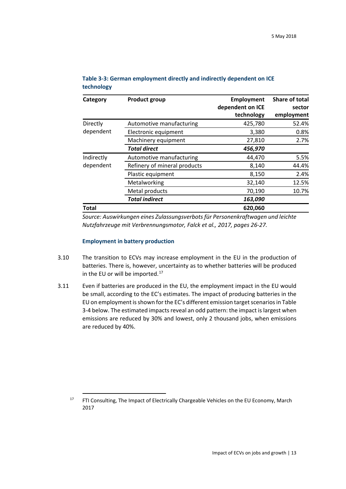| Category     | <b>Product group</b>         | Employment       | Share of total |
|--------------|------------------------------|------------------|----------------|
|              |                              | dependent on ICE | sector         |
|              |                              | technology       | employment     |
| Directly     | Automotive manufacturing     | 425,780          | 52.4%          |
| dependent    | Electronic equipment         | 3,380            | 0.8%           |
|              | Machinery equipment          | 27,810           | 2.7%           |
|              | <b>Total direct</b>          | 456,970          |                |
| Indirectly   | Automotive manufacturing     | 44,470           | 5.5%           |
| dependent    | Refinery of mineral products | 8,140            | 44.4%          |
|              | Plastic equipment            | 8,150            | 2.4%           |
|              | Metalworking                 | 32,140           | 12.5%          |
|              | Metal products               | 70,190           | 10.7%          |
|              | <b>Total indirect</b>        | 163,090          |                |
| <b>Total</b> |                              | 620,060          |                |

#### **Table 3-3: German employment directly and indirectly dependent on ICE technology**

*Source: Auswirkungen eines Zulassungsverbots für Personenkraftwagen und leichte Nutzfahrzeuge mit Verbrennungsmotor, Falck et al., 2017, pages 26-27.*

#### **Employment in battery production**

- 3.10 The transition to ECVs may increase employment in the EU in the production of batteries. There is, however, uncertainty as to whether batteries will be produced in the EU or will be imported. $17$
- 3.11 Even if batteries are produced in the EU, the employment impact in the EU would be small, according to the EC's estimates. The impact of producing batteries in the EU on employment is shown for the EC's different emission target scenarios in Table 3-4 below. The estimated impacts reveal an odd pattern: the impact is largest when emissions are reduced by 30% and lowest, only 2 thousand jobs, when emissions are reduced by 40%.

<span id="page-14-0"></span><sup>&</sup>lt;sup>17</sup> FTI Consulting, The Impact of Electrically Chargeable Vehicles on the EU Economy, March 2017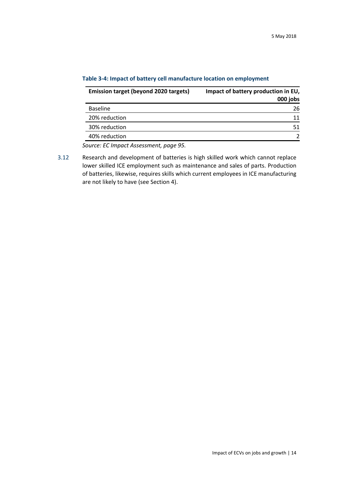| <b>Emission target (beyond 2020 targets)</b> | Impact of battery production in EU,<br>000 jobs |
|----------------------------------------------|-------------------------------------------------|
| <b>Baseline</b>                              | 26                                              |
| 20% reduction                                | 11                                              |
| 30% reduction                                | 51                                              |
| 40% reduction                                |                                                 |

#### **Table 3-4: Impact of battery cell manufacture location on employment**

*Source: EC Impact Assessment, page 95.*

3.12 Research and development of batteries is high skilled work which cannot replace lower skilled ICE employment such as maintenance and sales of parts. Production of batteries, likewise, requires skills which current employees in ICE manufacturing are not likely to have (see Section [4\)](#page-16-0).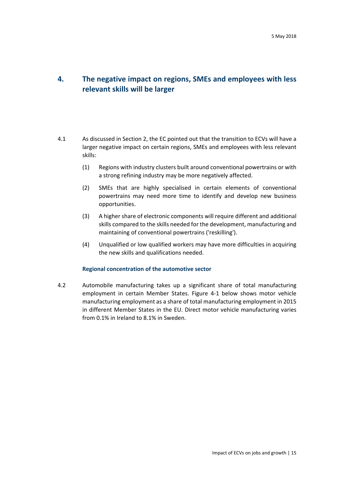## <span id="page-16-0"></span>**4. The negative impact on regions, SMEs and employees with less relevant skills will be larger**

- 4.1 As discussed in Section 2, the EC pointed out that the transition to ECVs will have a larger negative impact on certain regions, SMEs and employees with less relevant skills:
	- (1) Regions with industry clusters built around conventional powertrains or with a strong refining industry may be more negatively affected.
	- (2) SMEs that are highly specialised in certain elements of conventional powertrains may need more time to identify and develop new business opportunities.
	- (3) A higher share of electronic components will require different and additional skills compared to the skills needed for the development, manufacturing and maintaining of conventional powertrains ('reskilling').
	- (4) Unqualified or low qualified workers may have more difficulties in acquiring the new skills and qualifications needed.

#### **Regional concentration of the automotive sector**

4.2 Automobile manufacturing takes up a significant share of total manufacturing employment in certain Member States. [Figure 4-1](#page-17-0) below shows motor vehicle manufacturing employment as a share of total manufacturing employment in 2015 in different Member States in the EU. Direct motor vehicle manufacturing varies from 0.1% in Ireland to 8.1% in Sweden.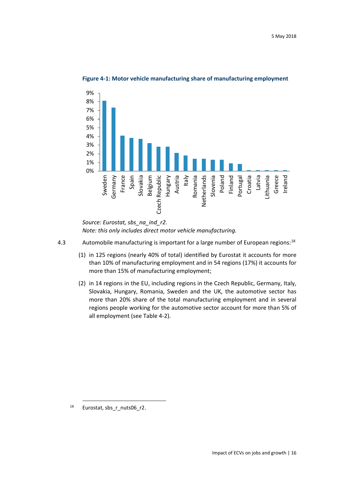<span id="page-17-0"></span>

**Figure 4-1: Motor vehicle manufacturing share of manufacturing employment**

- 4.3 Automobile manufacturing is important for a large number of European regions:<sup>[18](#page-17-1)</sup>
	- (1) in 125 regions (nearly 40% of total) identified by Eurostat it accounts for more than 10% of manufacturing employment and in 54 regions (17%) it accounts for more than 15% of manufacturing employment;
	- (2) in 14 regions in the EU, including regions in the Czech Republic, Germany, Italy, Slovakia, Hungary, Romania, Sweden and the UK, the automotive sector has more than 20% share of the total manufacturing employment and in several regions people working for the automotive sector account for more than 5% of all employment (see Table 4-2).

*Source: Eurostat, sbs\_na\_ind\_r2. Note: this only includes direct motor vehicle manufacturing.*

<span id="page-17-1"></span> <sup>18</sup> Eurostat, sbs\_r\_nuts06\_r2.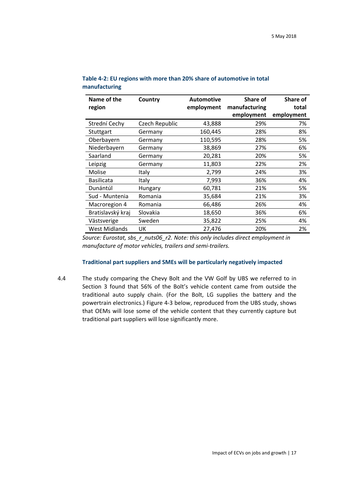| Name of the       | Country        | <b>Automotive</b> | <b>Share of</b> | <b>Share of</b> |
|-------------------|----------------|-------------------|-----------------|-----------------|
| region            |                | employment        | manufacturing   | total           |
|                   |                |                   | employment      | employment      |
| Strední Cechy     | Czech Republic | 43,888            | 29%             | 7%              |
| Stuttgart         | Germany        | 160,445           | 28%             | 8%              |
| Oberbayern        | Germany        | 110,595           | 28%             | 5%              |
| Niederbayern      | Germany        | 38,869            | 27%             | 6%              |
| Saarland          | Germany        | 20,281            | 20%             | 5%              |
| Leipzig           | Germany        | 11,803            | 22%             | 2%              |
| Molise            | Italy          | 2,799             | 24%             | 3%              |
| <b>Basilicata</b> | Italy          | 7,993             | 36%             | 4%              |
| Dunántúl          | Hungary        | 60,781            | 21%             | 5%              |
| Sud - Muntenia    | Romania        | 35,684            | 21%             | 3%              |
| Macroregion 4     | Romania        | 66,486            | 26%             | 4%              |
| Bratislavský kraj | Slovakia       | 18,650            | 36%             | 6%              |
| Västsverige       | Sweden         | 35,822            | 25%             | 4%              |
| West Midlands     | UK             | 27,476            | 20%             | 2%              |

| Table 4-2: EU regions with more than 20% share of automotive in total |  |  |
|-----------------------------------------------------------------------|--|--|
| manufacturing                                                         |  |  |

*Source: Eurostat, sbs\_r\_nuts06\_r2. Note: this only includes direct employment in manufacture of motor vehicles, trailers and semi-trailers.*

#### **Traditional part suppliers and SMEs will be particularly negatively impacted**

4.4 The study comparing the Chevy Bolt and the VW Golf by UBS we referred to in Section 3 found that 56% of the Bolt's vehicle content came from outside the traditional auto supply chain. (For the Bolt, LG supplies the battery and the powertrain electronics.) Figure 4-3 below, reproduced from the UBS study, shows that OEMs will lose some of the vehicle content that they currently capture but traditional part suppliers will lose significantly more.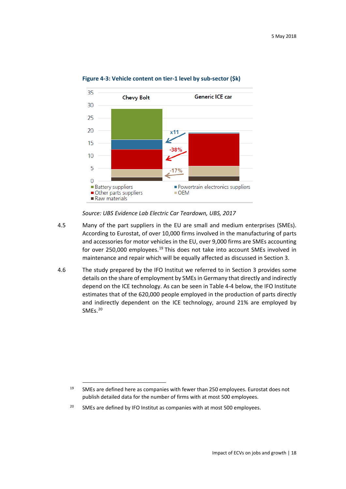

#### **Figure 4-3: Vehicle content on tier-1 level by sub-sector (\$k)**

*Source: UBS Evidence Lab Electric Car Teardown, UBS, 2017*

- 4.5 Many of the part suppliers in the EU are small and medium enterprises (SMEs). According to Eurostat, of over 10,000 firms involved in the manufacturing of parts and accessories for motor vehicles in the EU, over 9,000 firms are SMEs accounting for over 250,000 employees.<sup>[19](#page-19-0)</sup> This does not take into account SMEs involved in maintenance and repair which will be equally affected as discussed in Section 3.
- 4.6 The study prepared by the IFO Institut we referred to in Section 3 provides some details on the share of employment by SMEs in Germany that directly and indirectly depend on the ICE technology. As can be seen in Table 4-4 below, the IFO Institute estimates that of the 620,000 people employed in the production of parts directly and indirectly dependent on the ICE technology, around 21% are employed by SME<sub>s.</sub><sup>[20](#page-19-1)</sup>

<span id="page-19-0"></span><sup>&</sup>lt;sup>19</sup> SMEs are defined here as companies with fewer than 250 employees. Eurostat does not publish detailed data for the number of firms with at most 500 employees.

<span id="page-19-1"></span><sup>&</sup>lt;sup>20</sup> SMEs are defined by IFO Institut as companies with at most 500 employees.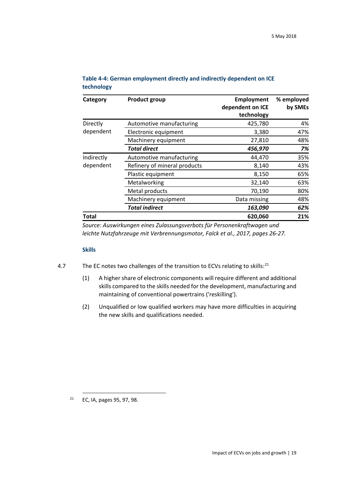| Category     | <b>Product group</b>         | <b>Employment</b>              | % employed |
|--------------|------------------------------|--------------------------------|------------|
|              |                              | dependent on ICE<br>technology | by SMEs    |
| Directly     | Automotive manufacturing     | 425,780                        | 4%         |
| dependent    | Electronic equipment         | 3,380                          | 47%        |
|              | Machinery equipment          | 27,810                         | 48%        |
|              | <b>Total direct</b>          | 456,970                        | 7%         |
| Indirectly   | Automotive manufacturing     | 44,470                         | 35%        |
| dependent    | Refinery of mineral products | 8,140                          | 43%        |
|              | Plastic equipment            | 8,150                          | 65%        |
|              | Metalworking                 | 32,140                         | 63%        |
|              | Metal products               | 70,190                         | 80%        |
|              | Machinery equipment          | Data missing                   | 48%        |
|              | <b>Total indirect</b>        | 163,090                        | 62%        |
| <b>Total</b> |                              | 620,060                        | 21%        |

#### **Table 4-4: German employment directly and indirectly dependent on ICE technology**

*Source: Auswirkungen eines Zulassungsverbots für Personenkraftwagen und leichte Nutzfahrzeuge mit Verbrennungsmotor, Falck et al., 2017, pages 26-27.*

#### **Skills**

- 4.7 The EC notes two challenges of the transition to ECVs relating to skills:<sup>[21](#page-20-0)</sup>
	- (1) A higher share of electronic components will require different and additional skills compared to the skills needed for the development, manufacturing and maintaining of conventional powertrains ('reskilling').
	- (2) Unqualified or low qualified workers may have more difficulties in acquiring the new skills and qualifications needed.

<span id="page-20-0"></span> <sup>21</sup> EC, IA, pages 95, 97, 98.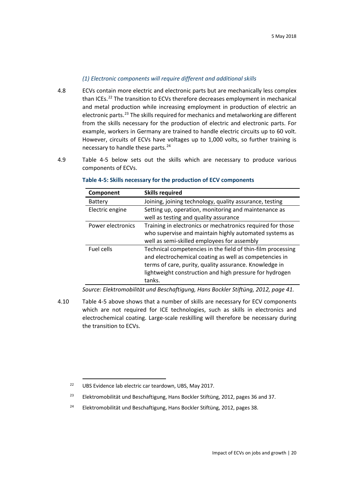## *(1) Electronic components will require different and additional skills*

- 4.8 ECVs contain more electric and electronic parts but are mechanically less complex than ICEs.<sup>[22](#page-21-0)</sup> The transition to ECVs therefore decreases employment in mechanical and metal production while increasing employment in production of electric an electronic parts.<sup>[23](#page-21-1)</sup> The skills required for mechanics and metalworking are different from the skills necessary for the production of electric and electronic parts. For example, workers in Germany are trained to handle electric circuits up to 60 volt. However, circuits of ECVs have voltages up to 1,000 volts, so further training is necessary to handle these parts.<sup>[24](#page-21-2)</sup>
- 4.9 Table 4-5 below sets out the skills which are necessary to produce various components of ECVs.

| Component         | <b>Skills required</b>                                      |
|-------------------|-------------------------------------------------------------|
| <b>Battery</b>    | Joining, joining technology, quality assurance, testing     |
| Electric engine   | Setting up, operation, monitoring and maintenance as        |
|                   | well as testing and quality assurance                       |
| Power electronics | Training in electronics or mechatronics required for those  |
|                   | who supervise and maintain highly automated systems as      |
|                   | well as semi-skilled employees for assembly                 |
| Fuel cells        | Technical competencies in the field of thin-film processing |
|                   | and electrochemical coating as well as competencies in      |
|                   | terms of care, purity, quality assurance. Knowledge in      |
|                   | lightweight construction and high pressure for hydrogen     |
|                   | tanks.                                                      |

#### **Table 4-5: Skills necessary for the production of ECV components**

*Source: Elektromobilität und Beschaftigung, Hans Bockler Stiftüng, 2012, page 41.*

4.10 Table 4-5 above shows that a number of skills are necessary for ECV components which are not required for ICE technologies, such as skills in electronics and electrochemical coating. Large-scale reskilling will therefore be necessary during the transition to ECVs.

<span id="page-21-2"></span><sup>24</sup> Elektromobilität und Beschaftigung, Hans Bockler Stiftüng, 2012, pages 38.

<span id="page-21-0"></span><sup>&</sup>lt;sup>22</sup> UBS Evidence lab electric car teardown, UBS, May 2017.

<span id="page-21-1"></span><sup>&</sup>lt;sup>23</sup> Elektromobilität und Beschaftigung, Hans Bockler Stiftüng, 2012, pages 36 and 37.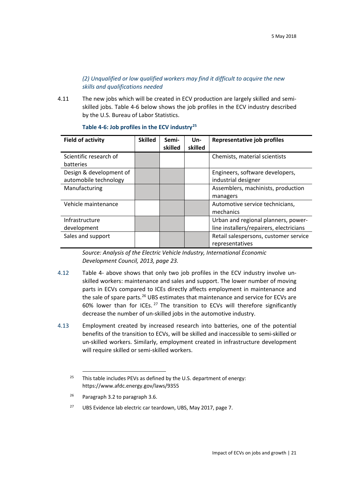## *(2) Unqualified or low qualified workers may find it difficult to acquire the new skills and qualifications needed*

4.11 The new jobs which will be created in ECV production are largely skilled and semiskilled jobs. Table 4-6 below shows the job profiles in the ECV industry described by the U.S. Bureau of Labor Statistics.

<span id="page-22-0"></span>

| <b>Field of activity</b> | <b>Skilled</b> | Semi-<br>skilled | Un-<br>skilled | Representative job profiles             |
|--------------------------|----------------|------------------|----------------|-----------------------------------------|
| Scientific research of   |                |                  |                | Chemists, material scientists           |
| batteries                |                |                  |                |                                         |
| Design & development of  |                |                  |                | Engineers, software developers,         |
| automobile technology    |                |                  |                | industrial designer                     |
| Manufacturing            |                |                  |                | Assemblers, machinists, production      |
|                          |                |                  |                | managers                                |
| Vehicle maintenance      |                |                  |                | Automotive service technicians,         |
|                          |                |                  |                | mechanics                               |
| Infrastructure           |                |                  |                | Urban and regional planners, power-     |
| development              |                |                  |                | line installers/repairers, electricians |
| Sales and support        |                |                  |                | Retail salespersons, customer service   |
|                          |                |                  |                | representatives                         |

#### **Table 4-6: Job profiles in the ECV industry[25](#page-22-1)**

*Source: Analysis of the Electric Vehicle Industry, International Economic Development Council, 2013, page 23.*

- 4.12 [Table 4-](#page-22-0) above shows that only two job profiles in the ECV industry involve unskilled workers: maintenance and sales and support. The lower number of moving parts in ECVs compared to ICEs directly affects employment in maintenance and the sale of spare parts.<sup>[26](#page-22-2)</sup> UBS estimates that maintenance and service for ECVs are 60% lower than for ICEs. [27](#page-22-3) The transition to ECVs will therefore significantly decrease the number of un-skilled jobs in the automotive industry.
- 4.13 Employment created by increased research into batteries, one of the potential benefits of the transition to ECVs, will be skilled and inaccessible to semi-skilled or un-skilled workers. Similarly, employment created in infrastructure development will require skilled or semi-skilled workers.

<span id="page-22-1"></span><sup>&</sup>lt;sup>25</sup> This table includes PEVs as defined by the U.S. department of energy: https://www.afdc.energy.gov/laws/9355

<span id="page-22-2"></span><sup>&</sup>lt;sup>26</sup> Paragrap[h 3.2](#page-10-2) to paragrap[h 3.6.](#page-12-3)

<span id="page-22-3"></span><sup>&</sup>lt;sup>27</sup> UBS Evidence lab electric car teardown, UBS, May 2017, page 7.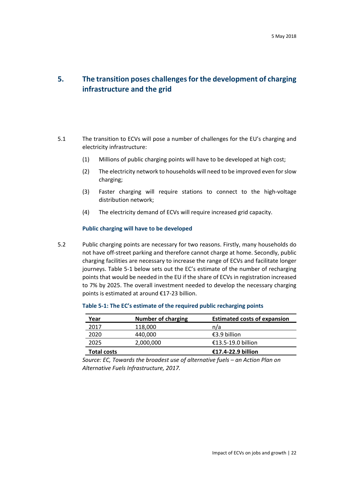## <span id="page-23-0"></span>**5. The transition poses challenges for the development of charging infrastructure and the grid**

- 5.1 The transition to ECVs will pose a number of challenges for the EU's charging and electricity infrastructure:
	- (1) Millions of public charging points will have to be developed at high cost;
	- (2) The electricity network to households will need to be improved even for slow charging;
	- (3) Faster charging will require stations to connect to the high-voltage distribution network;
	- (4) The electricity demand of ECVs will require increased grid capacity.

#### **Public charging will have to be developed**

5.2 Public charging points are necessary for two reasons. Firstly, many households do not have off-street parking and therefore cannot charge at home. Secondly, public charging facilities are necessary to increase the range of ECVs and facilitate longer journeys. [Table 5-1](#page-23-1) below sets out the EC's estimate of the number of recharging points that would be needed in the EU if the share of ECVs in registration increased to 7% by 2025. The overall investment needed to develop the necessary charging points is estimated at around €17-23 billion.

| Year               | Number of charging | <b>Estimated costs of expansion</b> |
|--------------------|--------------------|-------------------------------------|
| 2017               | 118,000            | n/a                                 |
| 2020               | 440,000            | €3.9 billion                        |
| 2025               | 2,000,000          | €13.5-19.0 billion                  |
| <b>Total costs</b> |                    | €17.4-22.9 billion                  |

#### <span id="page-23-1"></span>**Table 5-1: The EC's estimate of the required public recharging points**

*Source: EC, Towards the broadest use of alternative fuels – an Action Plan on Alternative Fuels Infrastructure, 2017.*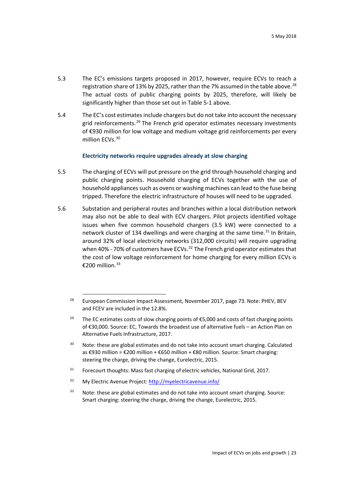- 5.3 The EC's emissions targets proposed in 2017, however, require ECVs to reach a registration share of 13% by 2025, rather than the 7% assumed in the table above.<sup>[28](#page-24-0)</sup> The actual costs of public charging points by 2025, therefore, will likely be significantly higher than those set out in [Table 5-1](#page-23-1) above.
- 5.4 The EC's cost estimates include chargers but do not take into account the necessary grid reinforcements.<sup>[29](#page-24-1)</sup> The French grid operator estimates necessary investments of €930 million for low voltage and medium voltage grid reinforcements per every million ECVs.<sup>[30](#page-24-2)</sup>

#### **Electricity networks require upgrades already at slow charging**

- 5.5 The charging of ECVs will put pressure on the grid through household charging and public charging points. Household charging of ECVs together with the use of household appliances such as ovens or washing machines can lead to the fuse being tripped. Therefore the electric infrastructure of houses will need to be upgraded.
- 5.6 Substation and peripheral routes and branches within a local distribution network may also not be able to deal with ECV chargers. Pilot projects identified voltage issues when five common household chargers (3.5 kW) were connected to a network cluster of 134 dwellings and were charging at the same time.<sup>[31](#page-24-3)</sup> In Britain, around 32% of local electricity networks (312,000 circuits) will require upgrading when 40% - 70% of customers have ECVs.<sup>[32](#page-24-4)</sup> The French grid operator estimates that the cost of low voltage reinforcement for home charging for every million ECVs is €200 million.<sup>[33](#page-24-5)</sup>

- <span id="page-24-2"></span><sup>30</sup> Note: these are global estimates and do not take into account smart charging. Calculated as €930 million = €200 million + €650 million + €80 million. Source: Smart charging: steering the charge, driving the change, Eurelectric, 2015.
- <span id="page-24-3"></span><sup>31</sup> Forecourt thoughts: Mass fast charging of electric vehicles, National Grid, 2017.
- <span id="page-24-4"></span><sup>32</sup> My Electric Avenue Project:<http://myelectricavenue.info/>
- <span id="page-24-5"></span> $33$  Note: these are global estimates and do not take into account smart charging. Source: Smart charging: steering the charge, driving the change, Eurelectric, 2015.

<span id="page-24-0"></span><sup>&</sup>lt;sup>28</sup> European Commission Impact Assessment, November 2017, page 73. Note: PHEV, BEV and FCEV are included in the 12.8%.

<span id="page-24-1"></span><sup>&</sup>lt;sup>29</sup> The EC estimates costs of slow charging points of  $\epsilon$ 5,000 and costs of fast charging points of €30,000. Source: EC, Towards the broadest use of alternative fuels – an Action Plan on Alternative Fuels Infrastructure, 2017.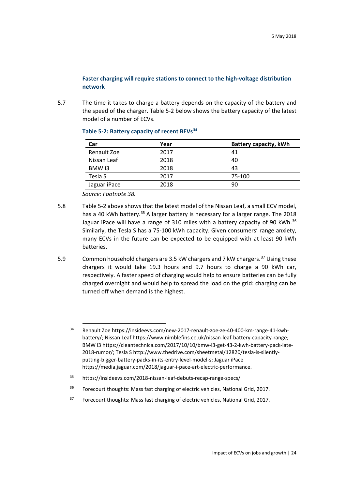#### **Faster charging will require stations to connect to the high-voltage distribution network**

5.7 The time it takes to charge a battery depends on the capacity of the battery and the speed of the charger. [Table 5-2](#page-25-0) below shows the battery capacity of the latest model of a number of ECVs.

| Car          | Year | <b>Battery capacity, kWh</b> |
|--------------|------|------------------------------|
| Renault Zoe  | 2017 | 41                           |
| Nissan Leaf  | 2018 | 40                           |
| BMW i3       | 2018 | 43                           |
| Tesla S      | 2017 | 75-100                       |
| Jaguar iPace | 2018 | 90                           |

#### <span id="page-25-0"></span>**Table 5-2: Battery capacity of recent BEVs[34](#page-25-1)**

*Source: Footnote 38.*

- 5.8 [Table 5-2](#page-25-0) above shows that the latest model of the Nissan Leaf, a small ECV model, has a 40 kWh battery.<sup>[35](#page-25-2)</sup> A larger battery is necessary for a larger range. The 2018 Jaguar iPace will have a range of 310 miles with a battery capacity of 90 kWh. $36$ Similarly, the Tesla S has a 75-100 kWh capacity. Given consumers' range anxiety, many ECVs in the future can be expected to be equipped with at least 90 kWh batteries.
- 5.9 Common household chargers are 3.5 kW chargers and 7 kW chargers.<sup>[37](#page-25-4)</sup> Using these chargers it would take 19.3 hours and 9.7 hours to charge a 90 kWh car, respectively. A faster speed of charging would help to ensure batteries can be fully charged overnight and would help to spread the load on the grid: charging can be turned off when demand is the highest.

<span id="page-25-4"></span><sup>37</sup> Forecourt thoughts: Mass fast charging of electric vehicles, National Grid, 2017.

<span id="page-25-1"></span> <sup>34</sup> Renault Zoe https://insideevs.com/new-2017-renault-zoe-ze-40-400-km-range-41-kwhbattery/; Nissan Leaf https://www.nimblefins.co.uk/nissan-leaf-battery-capacity-range; BMW i3 https://cleantechnica.com/2017/10/10/bmw-i3-get-43-2-kwh-battery-pack-late-2018-rumor/; Tesla S http://www.thedrive.com/sheetmetal/12820/tesla-is-silentlyputting-bigger-battery-packs-in-its-entry-level-model-s; Jaguar iPace https://media.jaguar.com/2018/jaguar-i-pace-art-electric-performance.

<span id="page-25-2"></span><sup>35</sup> https://insideevs.com/2018-nissan-leaf-debuts-recap-range-specs/

<span id="page-25-3"></span><sup>36</sup> Forecourt thoughts: Mass fast charging of electric vehicles, National Grid, 2017.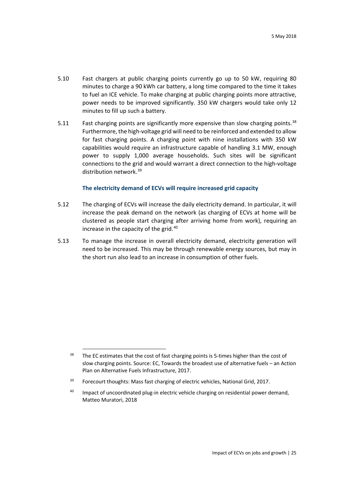- 5.10 Fast chargers at public charging points currently go up to 50 kW, requiring 80 minutes to charge a 90 kWh car battery, a long time compared to the time it takes to fuel an ICE vehicle. To make charging at public charging points more attractive, power needs to be improved significantly. 350 kW chargers would take only 12 minutes to fill up such a battery.
- 5.11 Fast charging points are significantly more expensive than slow charging points.<sup>[38](#page-26-0)</sup> Furthermore, the high-voltage grid will need to be reinforced and extended to allow for fast charging points. A charging point with nine installations with 350 kW capabilities would require an infrastructure capable of handling 3.1 MW, enough power to supply 1,000 average households. Such sites will be significant connections to the grid and would warrant a direct connection to the high-voltage distribution network.<sup>[39](#page-26-1)</sup>

#### **The electricity demand of ECVs will require increased grid capacity**

- 5.12 The charging of ECVs will increase the daily electricity demand. In particular, it will increase the peak demand on the network (as charging of ECVs at home will be clustered as people start charging after arriving home from work), requiring an increase in the capacity of the grid.<sup>[40](#page-26-2)</sup>
- 5.13 To manage the increase in overall electricity demand, electricity generation will need to be increased. This may be through renewable energy sources, but may in the short run also lead to an increase in consumption of other fuels.

<span id="page-26-0"></span><sup>&</sup>lt;sup>38</sup> The EC estimates that the cost of fast charging points is 5-times higher than the cost of slow charging points. Source: EC, Towards the broadest use of alternative fuels – an Action Plan on Alternative Fuels Infrastructure, 2017.

<span id="page-26-1"></span><sup>&</sup>lt;sup>39</sup> Forecourt thoughts: Mass fast charging of electric vehicles, National Grid, 2017.

<span id="page-26-2"></span> $40$  Impact of uncoordinated plug-in electric vehicle charging on residential power demand, Matteo Muratori, 2018